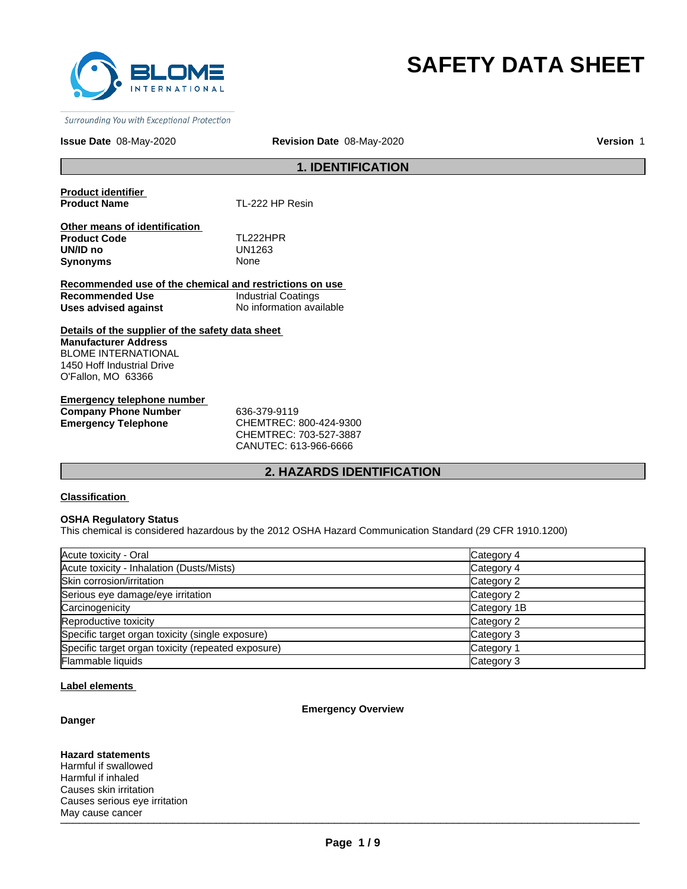

# **SAFETY DATA SHEET**

Surrounding You with Exceptional Protection

#### **Issue Date** 08-May-2020

**Revision Date** 08-May-2020 **Version** 1

# **1. IDENTIFICATION**

**Product identifier** 

**Product Name** TL-222 HP Resin

**Other means of identification Product Code TL222HPR**<br> **UN/ID no** UN1263 **Synonyms** 

UN1263<br>None

**Recommended use of the chemical and restrictions on use Recommended Use Industrial Coatings**<br> **Uses advised against Internation** No information available **Uses advised against** 

**Details of the supplier of the safety data sheet Manufacturer Address** BLOME INTERNATIONAL 1450 Hoff Industrial Drive O'Fallon, MO 63366

**Emergency telephone number Company Phone Number** 636-379-9119 **Emergency Telephone** CHEMTREC: 800-424-9300

CHEMTREC: 703-527-3887 CANUTEC: 613-966-6666

# **2. HAZARDS IDENTIFICATION**

#### **Classification**

# **OSHA Regulatory Status**

This chemical is considered hazardous by the 2012 OSHA Hazard Communication Standard (29 CFR 1910.1200)

| Acute toxicity - Oral                              | Category 4  |
|----------------------------------------------------|-------------|
| Acute toxicity - Inhalation (Dusts/Mists)          | Category 4  |
| Skin corrosion/irritation                          | Category 2  |
| Serious eye damage/eye irritation                  | Category 2  |
| Carcinogenicity                                    | Category 1B |
| Reproductive toxicity                              | Category 2  |
| Specific target organ toxicity (single exposure)   | Category 3  |
| Specific target organ toxicity (repeated exposure) | Category 1  |
| Flammable liquids                                  | Category 3  |

#### **Label elements**

#### **Emergency Overview**

# **Danger**

**Hazard statements**

 $\blacksquare$  and the caller the contract of the contract of the contract of the contract of the contract of the contract of the contract of the contract of the contract of the contract of the contract of the contract of the con Harmful if swallowed Harmful if inhaled Causes skin irritation Causes serious eye irritation May cause cancer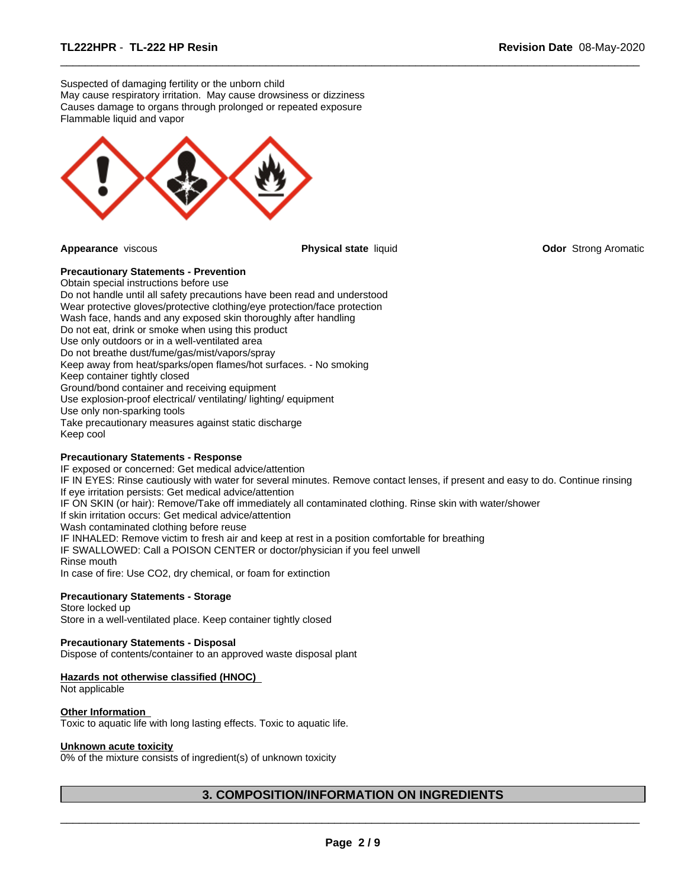Suspected of damaging fertility or the unborn child May cause respiratory irritation. May cause drowsiness or dizziness Causes damage to organs through prolonged or repeated exposure Flammable liquid and vapor



**Appearance** viscous **Physical state** liquid **Odor** Strong Aromatic

 $\overline{\phantom{a}}$  ,  $\overline{\phantom{a}}$  ,  $\overline{\phantom{a}}$  ,  $\overline{\phantom{a}}$  ,  $\overline{\phantom{a}}$  ,  $\overline{\phantom{a}}$  ,  $\overline{\phantom{a}}$  ,  $\overline{\phantom{a}}$  ,  $\overline{\phantom{a}}$  ,  $\overline{\phantom{a}}$  ,  $\overline{\phantom{a}}$  ,  $\overline{\phantom{a}}$  ,  $\overline{\phantom{a}}$  ,  $\overline{\phantom{a}}$  ,  $\overline{\phantom{a}}$  ,  $\overline{\phantom{a}}$ 

**Precautionary Statements - Prevention** Obtain special instructions before use Do not handle until all safety precautions have been read and understood Wear protective gloves/protective clothing/eye protection/face protection Wash face, hands and any exposed skin thoroughly after handling Do not eat, drink or smoke when using this product Use only outdoors or in a well-ventilated area Do not breathe dust/fume/gas/mist/vapors/spray Keep away from heat/sparks/open flames/hot surfaces. - No smoking Keep container tightly closed Ground/bond container and receiving equipment Use explosion-proof electrical/ ventilating/ lighting/ equipment Use only non-sparking tools Take precautionary measures against static discharge Keep cool

# **Precautionary Statements - Response**

IF exposed or concerned: Get medical advice/attention IF IN EYES: Rinse cautiously with water for several minutes. Remove contact lenses, if present and easy to do. Continue rinsing If eye irritation persists: Get medical advice/attention IF ON SKIN (or hair): Remove/Take off immediately all contaminated clothing. Rinse skin with water/shower If skin irritation occurs: Get medical advice/attention Wash contaminated clothing before reuse IF INHALED: Remove victim to fresh air and keep at rest in a position comfortable for breathing IF SWALLOWED: Call a POISON CENTER or doctor/physician if you feel unwell Rinse mouth In case of fire: Use CO2, dry chemical, or foam for extinction

# **Precautionary Statements - Storage**

Store locked up Store in a well-ventilated place. Keep container tightly closed

# **Precautionary Statements - Disposal**

Dispose of contents/container to an approved waste disposal plant

#### **Hazards not otherwise classified (HNOC)**

Not applicable

# **Other Information**

Toxic to aquatic life with long lasting effects. Toxic to aquatic life.

#### **Unknown acute toxicity**

0% of the mixture consists of ingredient(s) of unknown toxicity

# **3. COMPOSITION/INFORMATION ON INGREDIENTS**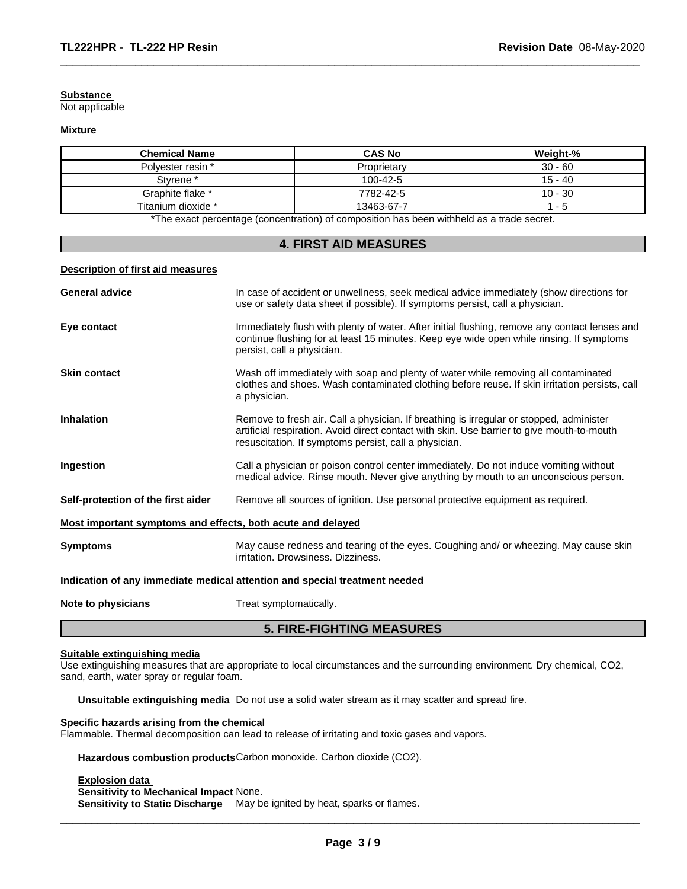#### **Substance**

Not applicable

# **Mixture**

| <b>Chemical Name</b> | <b>CAS No</b>                                                                                         | Weight-%  |
|----------------------|-------------------------------------------------------------------------------------------------------|-----------|
| Polvester resin *    | Proprietary                                                                                           | $30 - 60$ |
| Styrene <sup>*</sup> | 100-42-5                                                                                              | $15 - 40$ |
| Graphite flake *     | 7782-42-5                                                                                             | 10 - 30   |
| Titanium dioxide *   | 13463-67-7                                                                                            | - 5       |
|                      | *The expect personal service (equals production) of equals action has been withheld as a trade expert |           |

 $\overline{\phantom{a}}$  ,  $\overline{\phantom{a}}$  ,  $\overline{\phantom{a}}$  ,  $\overline{\phantom{a}}$  ,  $\overline{\phantom{a}}$  ,  $\overline{\phantom{a}}$  ,  $\overline{\phantom{a}}$  ,  $\overline{\phantom{a}}$  ,  $\overline{\phantom{a}}$  ,  $\overline{\phantom{a}}$  ,  $\overline{\phantom{a}}$  ,  $\overline{\phantom{a}}$  ,  $\overline{\phantom{a}}$  ,  $\overline{\phantom{a}}$  ,  $\overline{\phantom{a}}$  ,  $\overline{\phantom{a}}$ 

The exact percentage (concentration) of composition has been withheld as a trade secret.

# **4. FIRST AID MEASURES**

# **Description of first aid measures**

|                                                             | <b>5. FIRE-FIGHTING MEASURES</b>                                                                                                                                                                                                               |  |
|-------------------------------------------------------------|------------------------------------------------------------------------------------------------------------------------------------------------------------------------------------------------------------------------------------------------|--|
| Note to physicians                                          | Treat symptomatically.                                                                                                                                                                                                                         |  |
|                                                             | Indication of any immediate medical attention and special treatment needed                                                                                                                                                                     |  |
| <b>Symptoms</b>                                             | May cause redness and tearing of the eyes. Coughing and/or wheezing. May cause skin<br>irritation. Drowsiness. Dizziness.                                                                                                                      |  |
| Most important symptoms and effects, both acute and delayed |                                                                                                                                                                                                                                                |  |
| Self-protection of the first aider                          | Remove all sources of ignition. Use personal protective equipment as required.                                                                                                                                                                 |  |
| Ingestion                                                   | Call a physician or poison control center immediately. Do not induce vomiting without<br>medical advice. Rinse mouth. Never give anything by mouth to an unconscious person.                                                                   |  |
| <b>Inhalation</b>                                           | Remove to fresh air. Call a physician. If breathing is irregular or stopped, administer<br>artificial respiration. Avoid direct contact with skin. Use barrier to give mouth-to-mouth<br>resuscitation. If symptoms persist, call a physician. |  |
| <b>Skin contact</b>                                         | Wash off immediately with soap and plenty of water while removing all contaminated<br>clothes and shoes. Wash contaminated clothing before reuse. If skin irritation persists, call<br>a physician.                                            |  |
| Eye contact                                                 | Immediately flush with plenty of water. After initial flushing, remove any contact lenses and<br>continue flushing for at least 15 minutes. Keep eye wide open while rinsing. If symptoms<br>persist, call a physician.                        |  |
| <b>General advice</b>                                       | In case of accident or unwellness, seek medical advice immediately (show directions for<br>use or safety data sheet if possible). If symptoms persist, call a physician.                                                                       |  |
|                                                             |                                                                                                                                                                                                                                                |  |

# **Suitable extinguishing media**

Use extinguishing measures that are appropriate to local circumstances and the surrounding environment. Dry chemical, CO2, sand, earth, water spray or regular foam.

**Unsuitable extinguishing media** Do not use a solid water stream as it may scatter and spread fire.

# **Specific hazards arising from the chemical**

Flammable. Thermal decomposition can lead to release of irritating and toxic gases and vapors.

**Hazardous combustion products**Carbon monoxide. Carbon dioxide (CO2).

**Explosion data** 

**Sensitivity to Mechanical Impact** None.

**Sensitivity to Static Discharge** May be ignited by heat, sparks or flames.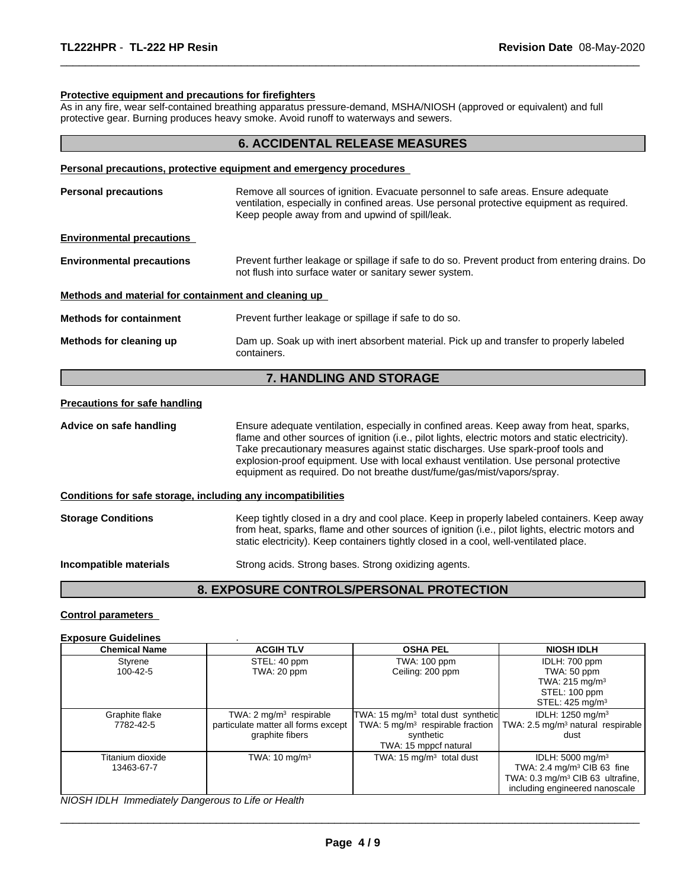# **Protective equipment and precautions for firefighters**

As in any fire, wear self-contained breathing apparatus pressure-demand, MSHA/NIOSH (approved or equivalent) and full protective gear. Burning produces heavy smoke. Avoid runoff to waterways and sewers.

 $\overline{\phantom{a}}$  ,  $\overline{\phantom{a}}$  ,  $\overline{\phantom{a}}$  ,  $\overline{\phantom{a}}$  ,  $\overline{\phantom{a}}$  ,  $\overline{\phantom{a}}$  ,  $\overline{\phantom{a}}$  ,  $\overline{\phantom{a}}$  ,  $\overline{\phantom{a}}$  ,  $\overline{\phantom{a}}$  ,  $\overline{\phantom{a}}$  ,  $\overline{\phantom{a}}$  ,  $\overline{\phantom{a}}$  ,  $\overline{\phantom{a}}$  ,  $\overline{\phantom{a}}$  ,  $\overline{\phantom{a}}$ 

|                                                              | <b>6. ACCIDENTAL RELEASE MEASURES</b>                                                                                                                                                                                                                                                                                                                                                                                                                |  |  |
|--------------------------------------------------------------|------------------------------------------------------------------------------------------------------------------------------------------------------------------------------------------------------------------------------------------------------------------------------------------------------------------------------------------------------------------------------------------------------------------------------------------------------|--|--|
|                                                              | Personal precautions, protective equipment and emergency procedures                                                                                                                                                                                                                                                                                                                                                                                  |  |  |
| <b>Personal precautions</b>                                  | Remove all sources of ignition. Evacuate personnel to safe areas. Ensure adequate<br>ventilation, especially in confined areas. Use personal protective equipment as required.<br>Keep people away from and upwind of spill/leak.                                                                                                                                                                                                                    |  |  |
| <b>Environmental precautions</b>                             |                                                                                                                                                                                                                                                                                                                                                                                                                                                      |  |  |
| <b>Environmental precautions</b>                             | Prevent further leakage or spillage if safe to do so. Prevent product from entering drains. Do<br>not flush into surface water or sanitary sewer system.                                                                                                                                                                                                                                                                                             |  |  |
| Methods and material for containment and cleaning up         |                                                                                                                                                                                                                                                                                                                                                                                                                                                      |  |  |
| <b>Methods for containment</b>                               | Prevent further leakage or spillage if safe to do so.                                                                                                                                                                                                                                                                                                                                                                                                |  |  |
| Methods for cleaning up                                      | Dam up. Soak up with inert absorbent material. Pick up and transfer to properly labeled<br>containers.                                                                                                                                                                                                                                                                                                                                               |  |  |
|                                                              | 7. HANDLING AND STORAGE                                                                                                                                                                                                                                                                                                                                                                                                                              |  |  |
| <b>Precautions for safe handling</b>                         |                                                                                                                                                                                                                                                                                                                                                                                                                                                      |  |  |
| Advice on safe handling                                      | Ensure adequate ventilation, especially in confined areas. Keep away from heat, sparks,<br>flame and other sources of ignition (i.e., pilot lights, electric motors and static electricity).<br>Take precautionary measures against static discharges. Use spark-proof tools and<br>explosion-proof equipment. Use with local exhaust ventilation. Use personal protective<br>equipment as required. Do not breathe dust/fume/gas/mist/vapors/spray. |  |  |
| Conditions for safe storage, including any incompatibilities |                                                                                                                                                                                                                                                                                                                                                                                                                                                      |  |  |
| <b>Storage Conditions</b>                                    | Keep tightly closed in a dry and cool place. Keep in properly labeled containers. Keep away<br>from heat, sparks, flame and other sources of ignition (i.e., pilot lights, electric motors and<br>static electricity). Keep containers tightly closed in a cool, well-ventilated place.                                                                                                                                                              |  |  |
| Incompatible materials                                       | Strong acids. Strong bases. Strong oxidizing agents.                                                                                                                                                                                                                                                                                                                                                                                                 |  |  |
|                                                              | 8. EXPOSURE CONTROLS/PERSONAL PROTECTION                                                                                                                                                                                                                                                                                                                                                                                                             |  |  |

# **Control parameters**

#### **Exposure Guidelines** .

| <b>Chemical Name</b> | <b>ACGIH TLV</b>                    | <b>OSHA PEL</b>                                          | <b>NIOSH IDLH</b>                             |
|----------------------|-------------------------------------|----------------------------------------------------------|-----------------------------------------------|
| Styrene              | STEL: 40 ppm                        | TWA: 100 ppm                                             | IDLH: 700 ppm                                 |
| 100-42-5             | TWA: 20 ppm                         | Ceiling: 200 ppm                                         | TWA: 50 ppm                                   |
|                      |                                     |                                                          | TWA: 215 mg/m <sup>3</sup>                    |
|                      |                                     |                                                          | STEL: 100 ppm                                 |
|                      |                                     |                                                          | STEL: 425 mg/m <sup>3</sup>                   |
| Graphite flake       | TWA: $2 \text{ mg/m}^3$ respirable  | TWA: 15 mg/m <sup>3</sup> total dust synthetic           | IDLH: 1250 mg/m <sup>3</sup>                  |
| 7782-42-5            | particulate matter all forms except | TWA: 5 mg/m <sup>3</sup> respirable fraction $\parallel$ | TWA: 2.5 mg/m <sup>3</sup> natural respirable |
|                      | graphite fibers                     | synthetic                                                | dust                                          |
|                      |                                     | TWA: 15 mppcf natural                                    |                                               |
| Titanium dioxide     | TWA: $10 \text{ mg/m}^3$            | TWA: 15 $mg/m3$ total dust                               | IDLH: 5000 mg/m <sup>3</sup>                  |
| 13463-67-7           |                                     |                                                          | TWA: 2.4 mg/m <sup>3</sup> CIB 63 fine        |
|                      |                                     |                                                          | TWA: 0.3 mg/m <sup>3</sup> CIB 63 ultrafine,  |
|                      |                                     |                                                          | including engineered nanoscale                |

*NIOSH IDLH Immediately Dangerous to Life or Health*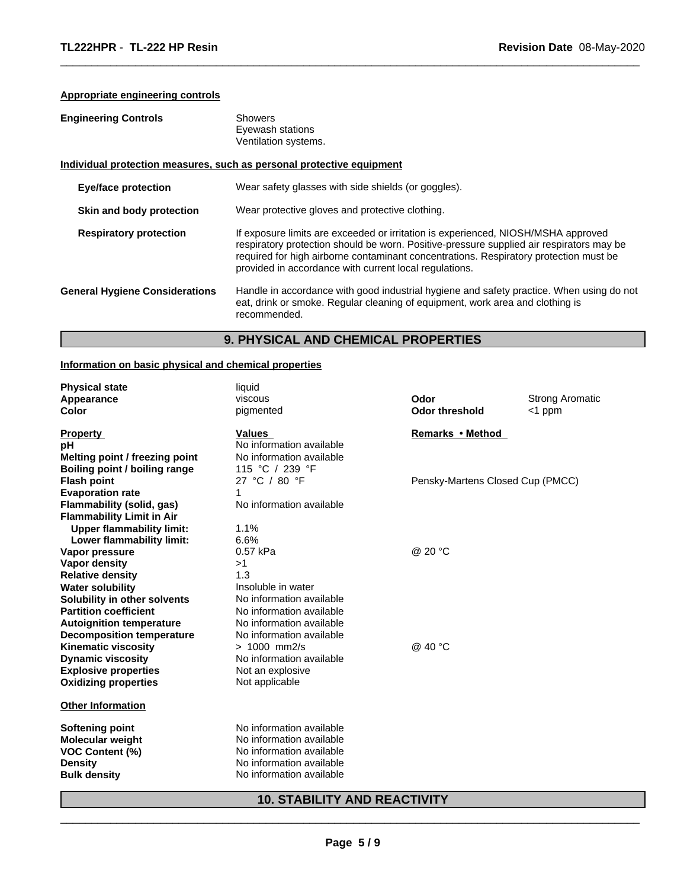# **Appropriate engineering controls**

| <b>Engineering Controls</b>           | Showers<br>Eyewash stations<br>Ventilation systems.                                                                                                                                                                                                                                                                              |  |
|---------------------------------------|----------------------------------------------------------------------------------------------------------------------------------------------------------------------------------------------------------------------------------------------------------------------------------------------------------------------------------|--|
|                                       | Individual protection measures, such as personal protective equipment                                                                                                                                                                                                                                                            |  |
| <b>Eye/face protection</b>            | Wear safety glasses with side shields (or goggles).                                                                                                                                                                                                                                                                              |  |
| Skin and body protection              | Wear protective gloves and protective clothing.                                                                                                                                                                                                                                                                                  |  |
| <b>Respiratory protection</b>         | If exposure limits are exceeded or irritation is experienced, NIOSH/MSHA approved<br>respiratory protection should be worn. Positive-pressure supplied air respirators may be<br>required for high airborne contaminant concentrations. Respiratory protection must be<br>provided in accordance with current local regulations. |  |
| <b>General Hygiene Considerations</b> | Handle in accordance with good industrial hygiene and safety practice. When using do not<br>eat, drink or smoke. Regular cleaning of equipment, work area and clothing is<br>recommended.                                                                                                                                        |  |

 $\overline{\phantom{a}}$  ,  $\overline{\phantom{a}}$  ,  $\overline{\phantom{a}}$  ,  $\overline{\phantom{a}}$  ,  $\overline{\phantom{a}}$  ,  $\overline{\phantom{a}}$  ,  $\overline{\phantom{a}}$  ,  $\overline{\phantom{a}}$  ,  $\overline{\phantom{a}}$  ,  $\overline{\phantom{a}}$  ,  $\overline{\phantom{a}}$  ,  $\overline{\phantom{a}}$  ,  $\overline{\phantom{a}}$  ,  $\overline{\phantom{a}}$  ,  $\overline{\phantom{a}}$  ,  $\overline{\phantom{a}}$ 

# **9. PHYSICAL AND CHEMICAL PROPERTIES**

# **Information on basic physical and chemical properties**

| <b>Physical state</b><br>Appearance<br>Color | liquid<br>viscous<br>pigmented      | Odor<br><b>Odor threshold</b>    | <b>Strong Aromatic</b><br><1 ppm |
|----------------------------------------------|-------------------------------------|----------------------------------|----------------------------------|
| <b>Property</b>                              | <b>Values</b>                       | Remarks • Method                 |                                  |
| рH                                           | No information available            |                                  |                                  |
| Melting point / freezing point               | No information available            |                                  |                                  |
| Boiling point / boiling range                | 115 °C / 239 °F                     |                                  |                                  |
| <b>Flash point</b>                           | 27 °C / 80 °F                       | Pensky-Martens Closed Cup (PMCC) |                                  |
| <b>Evaporation rate</b>                      | 1                                   |                                  |                                  |
| <b>Flammability (solid, gas)</b>             | No information available            |                                  |                                  |
| <b>Flammability Limit in Air</b>             |                                     |                                  |                                  |
| <b>Upper flammability limit:</b>             | 1.1%                                |                                  |                                  |
| Lower flammability limit:                    | 6.6%                                |                                  |                                  |
| Vapor pressure                               | 0.57 kPa                            | @ 20 °C                          |                                  |
| Vapor density                                | >1                                  |                                  |                                  |
| <b>Relative density</b>                      | 1.3                                 |                                  |                                  |
| <b>Water solubility</b>                      | Insoluble in water                  |                                  |                                  |
| Solubility in other solvents                 | No information available            |                                  |                                  |
| <b>Partition coefficient</b>                 | No information available            |                                  |                                  |
| <b>Autoignition temperature</b>              | No information available            |                                  |                                  |
| <b>Decomposition temperature</b>             | No information available            |                                  |                                  |
| <b>Kinematic viscosity</b>                   | $> 1000$ mm2/s                      | @ 40 °C                          |                                  |
| <b>Dynamic viscosity</b>                     | No information available            |                                  |                                  |
| <b>Explosive properties</b>                  | Not an explosive                    |                                  |                                  |
| <b>Oxidizing properties</b>                  | Not applicable                      |                                  |                                  |
| <b>Other Information</b>                     |                                     |                                  |                                  |
| Softening point                              | No information available            |                                  |                                  |
| <b>Molecular weight</b>                      | No information available            |                                  |                                  |
| VOC Content (%)                              | No information available            |                                  |                                  |
| <b>Density</b>                               | No information available            |                                  |                                  |
| <b>Bulk density</b>                          | No information available            |                                  |                                  |
|                                              | <b>10. STABILITY AND REACTIVITY</b> |                                  |                                  |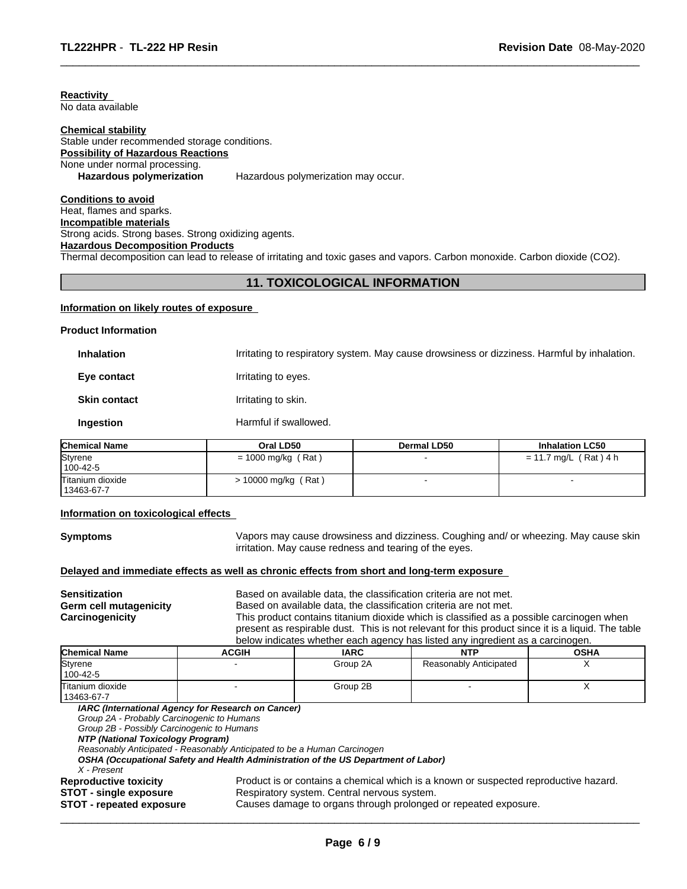**Reactivity**  No data available

#### **Chemical stability**

# Stable under recommended storage conditions. **Possibility of Hazardous Reactions** None under normal processing. **Hazardous polymerization** Hazardous polymerization may occur.

**Conditions to avoid** Heat, flames and sparks. **Incompatible materials** Strong acids. Strong bases. Strong oxidizing agents. **Hazardous Decomposition Products**

Thermal decomposition can lead to release of irritating and toxic gases and vapors. Carbon monoxide. Carbon dioxide (CO2).

# **11. TOXICOLOGICAL INFORMATION**

 $\overline{\phantom{a}}$  ,  $\overline{\phantom{a}}$  ,  $\overline{\phantom{a}}$  ,  $\overline{\phantom{a}}$  ,  $\overline{\phantom{a}}$  ,  $\overline{\phantom{a}}$  ,  $\overline{\phantom{a}}$  ,  $\overline{\phantom{a}}$  ,  $\overline{\phantom{a}}$  ,  $\overline{\phantom{a}}$  ,  $\overline{\phantom{a}}$  ,  $\overline{\phantom{a}}$  ,  $\overline{\phantom{a}}$  ,  $\overline{\phantom{a}}$  ,  $\overline{\phantom{a}}$  ,  $\overline{\phantom{a}}$ 

#### **Information on likely routes of exposure**

#### **Product Information**

| <b>Inhalation</b>   | Irritating to respiratory system. May cause drowsiness or dizziness. Harmful by inhalation. |
|---------------------|---------------------------------------------------------------------------------------------|
| Eye contact         | Irritating to eyes.                                                                         |
| <b>Skin contact</b> | Irritating to skin.                                                                         |
| <b>Ingestion</b>    | Harmful if swallowed.                                                                       |

| <b>Chemical Name</b> | Oral LD50            | Dermal LD50 | <b>Inhalation LC50</b> |  |
|----------------------|----------------------|-------------|------------------------|--|
| Styrene              | $= 1000$ mg/kg (Rat) |             | = 11.7 mg/L (Rat) 4 h  |  |
| $100 - 42 - 5$       |                      |             |                        |  |
| Titanium dioxide     | > 10000 mg/kg (Rat)  |             |                        |  |
| 13463-67-7           |                      |             |                        |  |

#### **Information on toxicological effects**

**Symptoms** Vapors may cause drowsiness and dizziness. Coughing and/ or wheezing. May cause skin irritation. May cause redness and tearing of the eyes.

#### **Delayed and immediate effects as well as chronic effects from short and long-term exposure**

| <b>Sensitization</b>   |  |
|------------------------|--|
| Germ cell mutagenicity |  |
| Carcinogenicity        |  |

Based on available data, the classification criteria are not met. Based on available data, the classification criteria are not met. This product contains titanium dioxide which is classified as a possible carcinogen when present as respirable dust. This is not relevant for this product since it is a liquid. The table

|                                |                                                    |             | below indicates whether each agency has listed any ingredient as a carcinogen. |             |
|--------------------------------|----------------------------------------------------|-------------|--------------------------------------------------------------------------------|-------------|
| <b>Chemical Name</b>           | <b>ACGIH</b>                                       | <b>IARC</b> | <b>NTP</b>                                                                     | <b>OSHA</b> |
| Styrene<br>100-42-5            |                                                    | Group 2A    | Reasonably Anticipated                                                         |             |
| Titanium dioxide<br>13463-67-7 |                                                    | Group 2B    |                                                                                |             |
|                                | IARC (International Agency for Research on Cancer) |             |                                                                                |             |

*Group 2A - Probably Carcinogenic to Humans*

*Group 2B - Possibly Carcinogenic to Humans*

*NTP (National Toxicology Program)*

*Reasonably Anticipated - Reasonably Anticipated to be a Human Carcinogen*

*OSHA (Occupational Safety and Health Administration of the US Department of Labor)*

*X - Present*

**Reproductive toxicity Product is or contains a chemical which is a known or suspected reproductive hazard.**<br>**STOT - single exposure Respiratory system.** Central nervous system.

 $\overline{\phantom{a}}$  ,  $\overline{\phantom{a}}$  ,  $\overline{\phantom{a}}$  ,  $\overline{\phantom{a}}$  ,  $\overline{\phantom{a}}$  ,  $\overline{\phantom{a}}$  ,  $\overline{\phantom{a}}$  ,  $\overline{\phantom{a}}$  ,  $\overline{\phantom{a}}$  ,  $\overline{\phantom{a}}$  ,  $\overline{\phantom{a}}$  ,  $\overline{\phantom{a}}$  ,  $\overline{\phantom{a}}$  ,  $\overline{\phantom{a}}$  ,  $\overline{\phantom{a}}$  ,  $\overline{\phantom{a}}$ 

**STOT - single exposure** Respiratory system. Central nervous system.<br>**STOT - repeated exposure** Causes damage to organs through prolonged **STOT - repeated exposure** Causes damage to organs through prolonged or repeated exposure.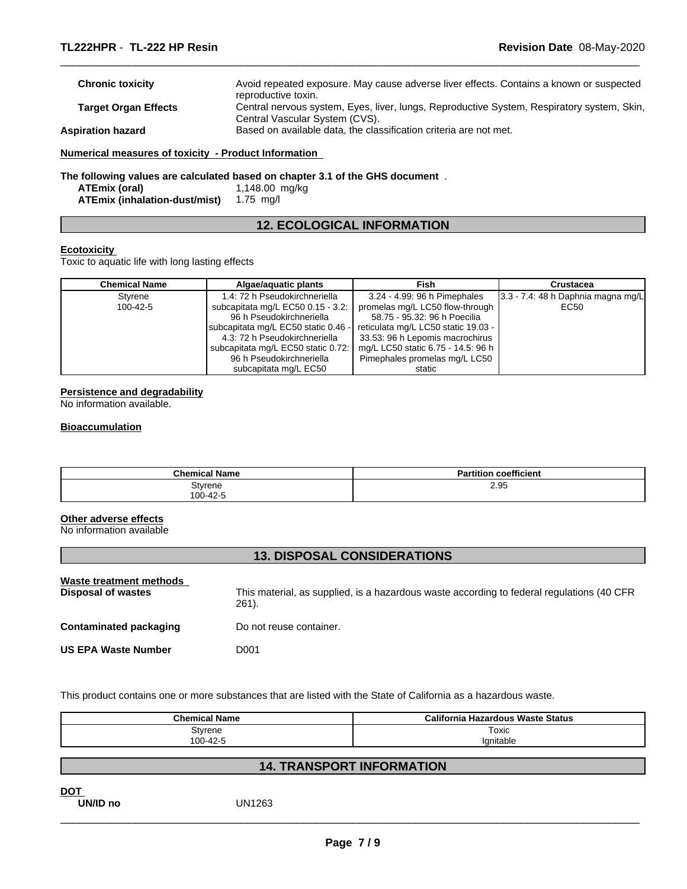| <b>Chronic toxicity</b>                              | Avoid repeated exposure. May cause adverse liver effects. Contains a known or suspected<br>reproductive toxin. |
|------------------------------------------------------|----------------------------------------------------------------------------------------------------------------|
|                                                      |                                                                                                                |
| <b>Target Organ Effects</b>                          | Central nervous system, Eyes, liver, lungs, Reproductive System, Respiratory system, Skin,                     |
|                                                      | Central Vascular System (CVS).                                                                                 |
| <b>Aspiration hazard</b>                             | Based on available data, the classification criteria are not met.                                              |
| Numerical measures of toxicity - Product Information |                                                                                                                |

 $\overline{\phantom{a}}$  ,  $\overline{\phantom{a}}$  ,  $\overline{\phantom{a}}$  ,  $\overline{\phantom{a}}$  ,  $\overline{\phantom{a}}$  ,  $\overline{\phantom{a}}$  ,  $\overline{\phantom{a}}$  ,  $\overline{\phantom{a}}$  ,  $\overline{\phantom{a}}$  ,  $\overline{\phantom{a}}$  ,  $\overline{\phantom{a}}$  ,  $\overline{\phantom{a}}$  ,  $\overline{\phantom{a}}$  ,  $\overline{\phantom{a}}$  ,  $\overline{\phantom{a}}$  ,  $\overline{\phantom{a}}$ 

# **The following values are calculated based on chapter 3.1 of the GHS document** .

|                               | .              |
|-------------------------------|----------------|
| ATEmix (oral)                 | 1,148.00 mg/kg |
| ATEmix (inhalation-dust/mist) | 1.75 mg/l      |

# **12. ECOLOGICAL INFORMATION**

# **Ecotoxicity**

Toxic to aquatic life with long lasting effects

| <b>Chemical Name</b> | Algae/aguatic plants                | Fish                                | Crustacea                               |
|----------------------|-------------------------------------|-------------------------------------|-----------------------------------------|
| Styrene              | 1.4: 72 h Pseudokirchneriella       | 3.24 - 4.99: 96 h Pimephales        | $ 3.3 - 7.4 $ : 48 h Daphnia magna mg/L |
| 100-42-5             | subcapitata mg/L EC50 0.15 - 3.2:   | promelas mg/L LC50 flow-through     | EC50                                    |
|                      | 96 h Pseudokirchneriella            | 58.75 - 95.32: 96 h Poecilia        |                                         |
|                      | subcapitata mg/L EC50 static 0.46 - | reticulata mg/L LC50 static 19.03 - |                                         |
|                      | 4.3: 72 h Pseudokirchneriella       | 33.53: 96 h Lepomis macrochirus     |                                         |
|                      | subcapitata mg/L EC50 static 0.72:  | mg/L LC50 static 6.75 - 14.5: 96 h  |                                         |
|                      | 96 h Pseudokirchneriella            | Pimephales promelas mg/L LC50       |                                         |
|                      | subcapitata mg/L EC50               | static                              |                                         |

# **Persistence and degradability**

No information available.

#### **Bioaccumulation**

| <b>Chemical Name</b> | <b>Partition coefficient</b> |
|----------------------|------------------------------|
| Styrene              | 2.95                         |
| 100-42-5             |                              |

# **Other adverse effects**

No information available

# **13. DISPOSAL CONSIDERATIONS**

| Waste treatment methods<br>Disposal of wastes | This material, as supplied, is a hazardous waste according to federal regulations (40 CFR<br>$261$ . |
|-----------------------------------------------|------------------------------------------------------------------------------------------------------|
| <b>Contaminated packaging</b>                 | Do not reuse container.                                                                              |
| <b>US EPA Waste Number</b>                    | D001                                                                                                 |

This product contains one or more substances that are listed with the State of California as a hazardous waste.

| <b>Chemical Name</b> | California Hazardous Waste Status |
|----------------------|-----------------------------------|
| Styrene              | Toxic                             |
| 100-42-5             | lanitable                         |

# **14. TRANSPORT INFORMATION**

**DOT** 

**UN/ID no** UN1263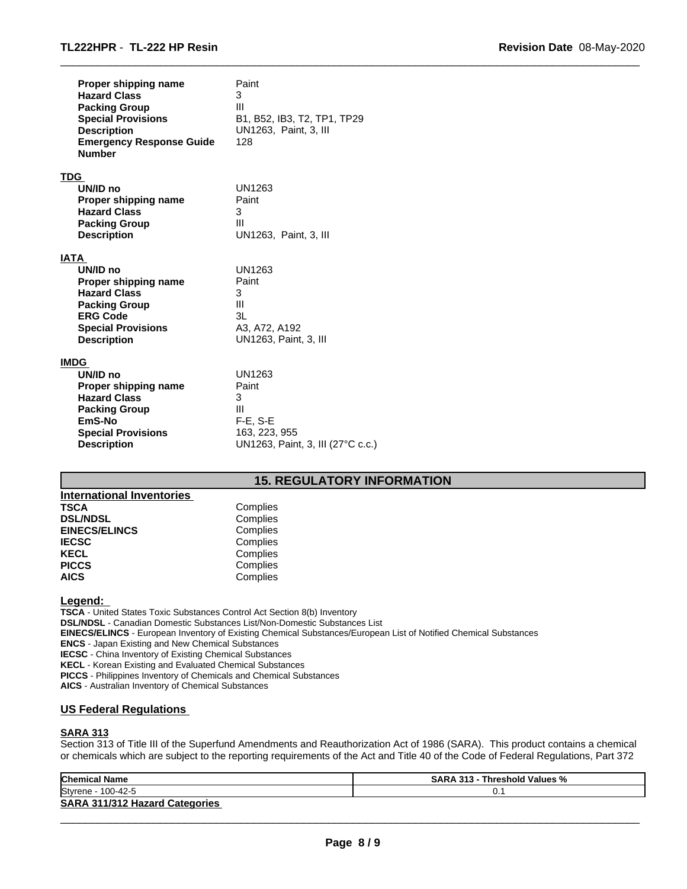| Proper shipping name<br><b>Hazard Class</b><br><b>Packing Group</b><br><b>Special Provisions</b><br><b>Description</b><br><b>Emergency Response Guide</b><br><b>Number</b> | Paint<br>3<br>Ш<br>B1, B52, IB3, T2, TP1, TP29<br>UN1263, Paint, 3, III<br>128 |
|----------------------------------------------------------------------------------------------------------------------------------------------------------------------------|--------------------------------------------------------------------------------|
| TDG                                                                                                                                                                        |                                                                                |
| UN/ID no                                                                                                                                                                   | UN1263                                                                         |
| Proper shipping name                                                                                                                                                       | Paint                                                                          |
| <b>Hazard Class</b>                                                                                                                                                        | 3                                                                              |
| <b>Packing Group</b>                                                                                                                                                       | Ш                                                                              |
| <b>Description</b>                                                                                                                                                         | UN1263, Paint, 3, III                                                          |
| IATA                                                                                                                                                                       |                                                                                |
| UN/ID no                                                                                                                                                                   | UN1263                                                                         |
| Proper shipping name                                                                                                                                                       | Paint                                                                          |
| <b>Hazard Class</b>                                                                                                                                                        | 3                                                                              |
| <b>Packing Group</b>                                                                                                                                                       | Ш                                                                              |
| <b>ERG Code</b>                                                                                                                                                            | 3L                                                                             |
| <b>Special Provisions</b>                                                                                                                                                  | A3, A72, A192                                                                  |
| <b>Description</b>                                                                                                                                                         | UN1263, Paint, 3, III                                                          |
| IMDG                                                                                                                                                                       |                                                                                |
| UN/ID no                                                                                                                                                                   | UN1263                                                                         |
| Proper shipping name                                                                                                                                                       | Paint                                                                          |
| <b>Hazard Class</b>                                                                                                                                                        | 3                                                                              |
| <b>Packing Group</b>                                                                                                                                                       | Ш                                                                              |
| EmS-No                                                                                                                                                                     | $F-E$ , $S-E$                                                                  |
| <b>Special Provisions</b>                                                                                                                                                  | 163, 223, 955                                                                  |
| <b>Description</b>                                                                                                                                                         | UN1263, Paint, 3, III (27°C c.c.)                                              |

# **15. REGULATORY INFORMATION**

 $\overline{\phantom{a}}$  ,  $\overline{\phantom{a}}$  ,  $\overline{\phantom{a}}$  ,  $\overline{\phantom{a}}$  ,  $\overline{\phantom{a}}$  ,  $\overline{\phantom{a}}$  ,  $\overline{\phantom{a}}$  ,  $\overline{\phantom{a}}$  ,  $\overline{\phantom{a}}$  ,  $\overline{\phantom{a}}$  ,  $\overline{\phantom{a}}$  ,  $\overline{\phantom{a}}$  ,  $\overline{\phantom{a}}$  ,  $\overline{\phantom{a}}$  ,  $\overline{\phantom{a}}$  ,  $\overline{\phantom{a}}$ 

| <b>International Inventories</b> |          |
|----------------------------------|----------|
| <b>TSCA</b>                      | Complies |
| <b>DSL/NDSL</b>                  | Complies |
| <b>EINECS/ELINCS</b>             | Complies |
| <b>IECSC</b>                     | Complies |
| <b>KECL</b>                      | Complies |
| <b>PICCS</b>                     | Complies |
| <b>AICS</b>                      | Complies |

# **Legend:**

**TSCA** - United States Toxic Substances Control Act Section 8(b) Inventory **DSL/NDSL** - Canadian Domestic Substances List/Non-Domestic Substances List **EINECS/ELINCS** - European Inventory of Existing Chemical Substances/European List of Notified Chemical Substances **ENCS** - Japan Existing and New Chemical Substances **IECSC** - China Inventory of Existing Chemical Substances **KECL** - Korean Existing and Evaluated Chemical Substances **PICCS** - Philippines Inventory of Chemicals and Chemical Substances **AICS** - Australian Inventory of Chemical Substances

# **US Federal Regulations**

# **SARA 313**

Section 313 of Title III of the Superfund Amendments and Reauthorization Act of 1986 (SARA). This product contains a chemical or chemicals which are subject to the reporting requirements of the Act and Title 40 of the Code of Federal Regulations, Part 372

| <b>Chemical Name</b>                     | <b>SARA 313 -</b><br>Threshold Values % |
|------------------------------------------|-----------------------------------------|
| Styrene<br>100-42-5                      | ◡.                                      |
| 311/312 Hazard Categories<br><b>SARA</b> |                                         |